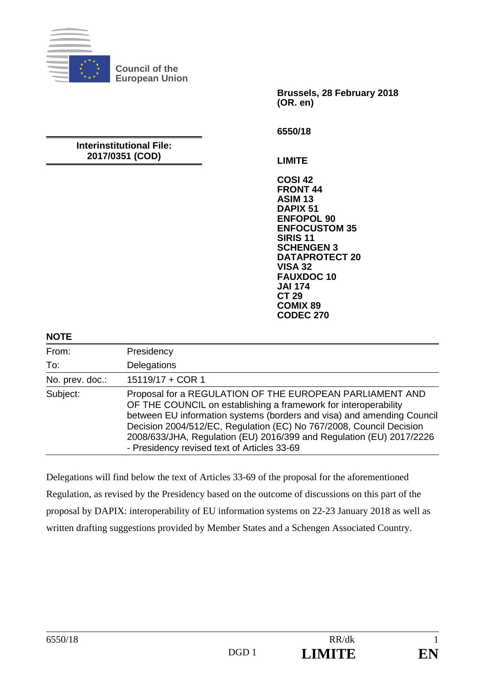

**Council of the European Union** 

> **Brussels, 28 February 2018 (OR. en)**

**6550/18** 

#### **Interinstitutional File: 2017/0351 (COD)**

**LIMITE** 

**COSI 42 FRONT 44 ASIM 13 DAPIX 51 ENFOPOL 90 ENFOCUSTOM 35 SIRIS 11 SCHENGEN 3 DATAPROTECT 20 VISA 32 FAUXDOC 10 JAI 174 CT 29 COMIX 89 CODEC 270**

#### **NOTE**

| From:           | Presidency                                                                                                                                                                                                                                                                                                                                                                                          |
|-----------------|-----------------------------------------------------------------------------------------------------------------------------------------------------------------------------------------------------------------------------------------------------------------------------------------------------------------------------------------------------------------------------------------------------|
| To:             | Delegations                                                                                                                                                                                                                                                                                                                                                                                         |
| No. prev. doc.: | 15119/17 + COR 1                                                                                                                                                                                                                                                                                                                                                                                    |
| Subject:        | Proposal for a REGULATION OF THE EUROPEAN PARLIAMENT AND<br>OF THE COUNCIL on establishing a framework for interoperability<br>between EU information systems (borders and visa) and amending Council<br>Decision 2004/512/EC, Regulation (EC) No 767/2008, Council Decision<br>2008/633/JHA, Regulation (EU) 2016/399 and Regulation (EU) 2017/2226<br>- Presidency revised text of Articles 33-69 |

Delegations will find below the text of Articles 33-69 of the proposal for the aforementioned Regulation, as revised by the Presidency based on the outcome of discussions on this part of the proposal by DAPIX: interoperability of EU information systems on 22-23 January 2018 as well as written drafting suggestions provided by Member States and a Schengen Associated Country.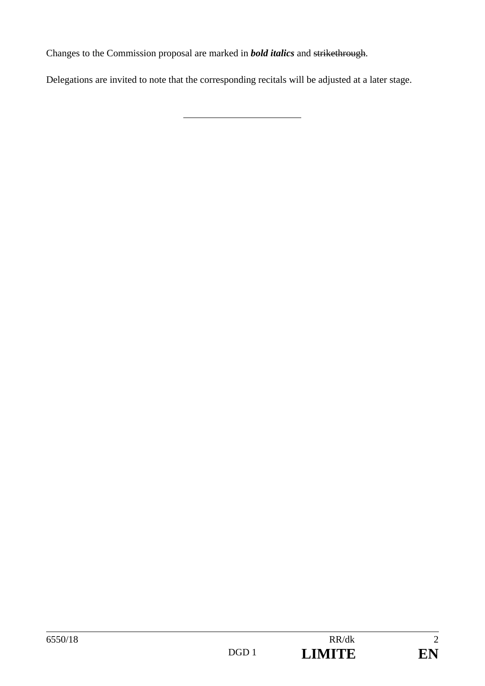Changes to the Commission proposal are marked in *bold italics* and strikethrough.

Delegations are invited to note that the corresponding recitals will be adjusted at a later stage.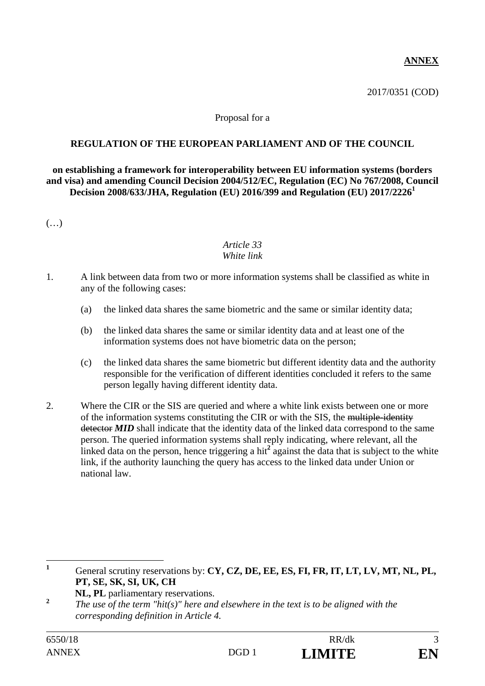## **ANNEX**

2017/0351 (COD)

#### Proposal for a

#### **REGULATION OF THE EUROPEAN PARLIAMENT AND OF THE COUNCIL**

**on establishing a framework for interoperability between EU information systems (borders and visa) and amending Council Decision 2004/512/EC, Regulation (EC) No 767/2008, Council Decision 2008/633/JHA, Regulation (EU) 2016/399 and Regulation (EU) 2017/2226<sup>1</sup>**

(…)

#### *Article 33 White link*

- 1. A link between data from two or more information systems shall be classified as white in any of the following cases:
	- (a) the linked data shares the same biometric and the same or similar identity data;
	- (b) the linked data shares the same or similar identity data and at least one of the information systems does not have biometric data on the person;
	- (c) the linked data shares the same biometric but different identity data and the authority responsible for the verification of different identities concluded it refers to the same person legally having different identity data.
- 2. Where the CIR or the SIS are queried and where a white link exists between one or more of the information systems constituting the CIR or with the SIS, the multiple-identity detector **MID** shall indicate that the identity data of the linked data correspond to the same person. The queried information systems shall reply indicating, where relevant, all the linked data on the person, hence triggering a hit<sup>2</sup> against the data that is subject to the white link, if the authority launching the query has access to the linked data under Union or national law.

 **1** General scrutiny reservations by: **CY, CZ, DE, EE, ES, FI, FR, IT, LT, LV, MT, NL, PL, PT, SE, SK, SI, UK, CH** 

**NL, PL** parliamentary reservations.

**<sup>2</sup>** *The use of the term "hit(s)" here and elsewhere in the text is to be aligned with the corresponding definition in Article 4.*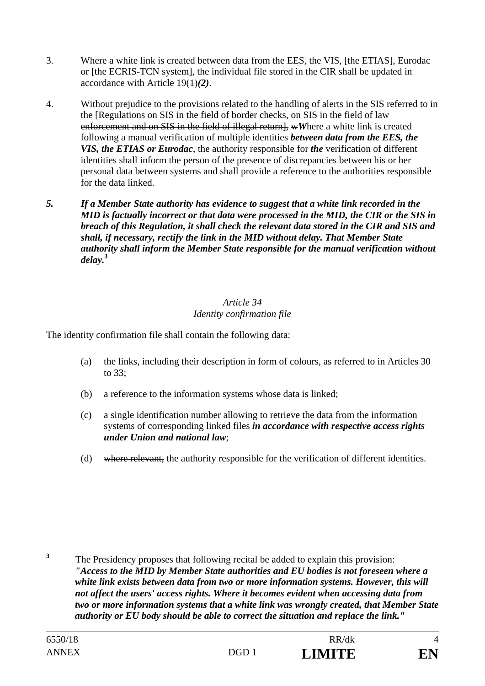- 3. Where a white link is created between data from the EES, the VIS, [the ETIAS], Eurodac or [the ECRIS-TCN system], the individual file stored in the CIR shall be updated in accordance with Article 19(1)*(2)*.
- 4. Without prejudice to the provisions related to the handling of alerts in the SIS referred to in the [Regulations on SIS in the field of border checks, on SIS in the field of law enforcement and on SIS in the field of illegal return], wWhere a white link is created following a manual verification of multiple identities *between data from the EES, the VIS, the ETIAS or Eurodac*, the authority responsible for *the* verification of different identities shall inform the person of the presence of discrepancies between his or her personal data between systems and shall provide a reference to the authorities responsible for the data linked.
- *5. If a Member State authority has evidence to suggest that a white link recorded in the MID is factually incorrect or that data were processed in the MID, the CIR or the SIS in breach of this Regulation, it shall check the relevant data stored in the CIR and SIS and shall, if necessary, rectify the link in the MID without delay. That Member State authority shall inform the Member State responsible for the manual verification without delay.***<sup>3</sup>**

## *Article 34 Identity confirmation file*

The identity confirmation file shall contain the following data:

- (a) the links, including their description in form of colours, as referred to in Articles 30 to 33;
- (b) a reference to the information systems whose data is linked;
- (c) a single identification number allowing to retrieve the data from the information systems of corresponding linked files *in accordance with respective access rights under Union and national law*;
- (d) where relevant, the authority responsible for the verification of different identities.

 **3** The Presidency proposes that following recital be added to explain this provision: *"Access to the MID by Member State authorities and EU bodies is not foreseen where a white link exists between data from two or more information systems. However, this will not affect the users' access rights. Where it becomes evident when accessing data from two or more information systems that a white link was wrongly created, that Member State authority or EU body should be able to correct the situation and replace the link."*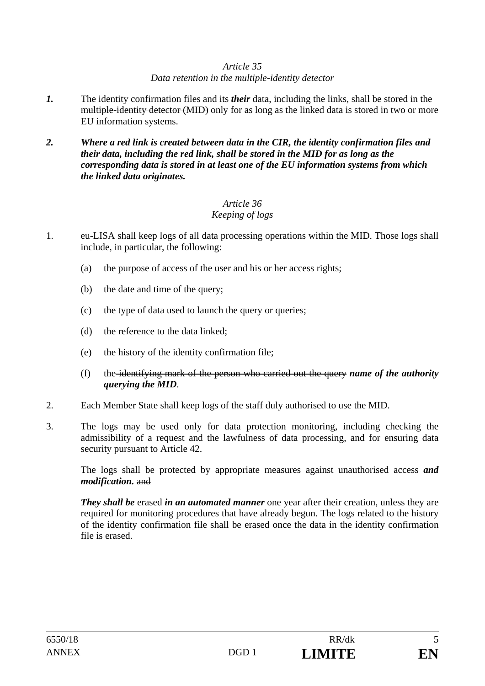#### *Article 35 Data retention in the multiple-identity detector*

- *1.* The identity confirmation files and its *their* data, including the links, shall be stored in the multiple-identity detector (MID) only for as long as the linked data is stored in two or more EU information systems.
- *2. Where a red link is created between data in the CIR, the identity confirmation files and their data, including the red link, shall be stored in the MID for as long as the corresponding data is stored in at least one of the EU information systems from which the linked data originates.*

# *Article 36*

## *Keeping of logs*

- 1. eu-LISA shall keep logs of all data processing operations within the MID. Those logs shall include, in particular, the following:
	- (a) the purpose of access of the user and his or her access rights;
	- (b) the date and time of the query;
	- (c) the type of data used to launch the query or queries;
	- (d) the reference to the data linked;
	- (e) the history of the identity confirmation file;
	- (f) the identifying mark of the person who carried out the query *name of the authority querying the MID*.
- 2. Each Member State shall keep logs of the staff duly authorised to use the MID.
- 3. The logs may be used only for data protection monitoring, including checking the admissibility of a request and the lawfulness of data processing, and for ensuring data security pursuant to Article 42.

 The logs shall be protected by appropriate measures against unauthorised access *and modification.* and

*They shall be* erased *in an automated manner* one year after their creation, unless they are required for monitoring procedures that have already begun. The logs related to the history of the identity confirmation file shall be erased once the data in the identity confirmation file is erased.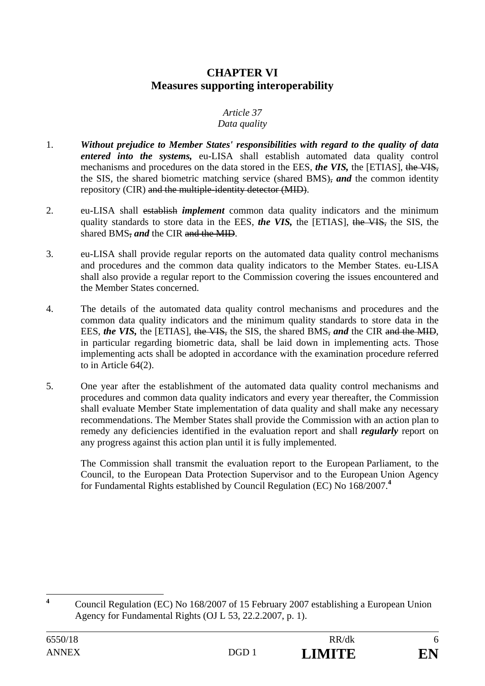## **CHAPTER VI Measures supporting interoperability**

## *Article 37*

#### *Data quality*

- 1. *Without prejudice to Member States' responsibilities with regard to the quality of data entered into the systems,* eu-LISA shall establish automated data quality control mechanisms and procedures on the data stored in the EES, *the VIS,* the [ETIAS], the VIS, the SIS, the shared biometric matching service (shared BMS), *and* the common identity repository (CIR) and the multiple-identity detector (MID).
- 2. eu-LISA shall establish *implement* common data quality indicators and the minimum quality standards to store data in the EES, *the VIS,* the [ETIAS], the VIS, the SIS, the shared BMS, *and* the CIR and the MID.
- 3. eu-LISA shall provide regular reports on the automated data quality control mechanisms and procedures and the common data quality indicators to the Member States. eu-LISA shall also provide a regular report to the Commission covering the issues encountered and the Member States concerned.
- 4. The details of the automated data quality control mechanisms and procedures and the common data quality indicators and the minimum quality standards to store data in the EES, *the VIS,* the [ETIAS], the VIS, the SIS, the shared BMS, *and* the CIR and the MID, in particular regarding biometric data, shall be laid down in implementing acts. Those implementing acts shall be adopted in accordance with the examination procedure referred to in Article 64(2).
- 5. One year after the establishment of the automated data quality control mechanisms and procedures and common data quality indicators and every year thereafter, the Commission shall evaluate Member State implementation of data quality and shall make any necessary recommendations. The Member States shall provide the Commission with an action plan to remedy any deficiencies identified in the evaluation report and shall *regularly* report on any progress against this action plan until it is fully implemented.

 The Commission shall transmit the evaluation report to the European Parliament, to the Council, to the European Data Protection Supervisor and to the European Union Agency for Fundamental Rights established by Council Regulation (EC) No 168/2007.**<sup>4</sup>**

 **4** Council Regulation (EC) No 168/2007 of 15 February 2007 establishing a European Union Agency for Fundamental Rights (OJ L 53, 22.2.2007, p. 1).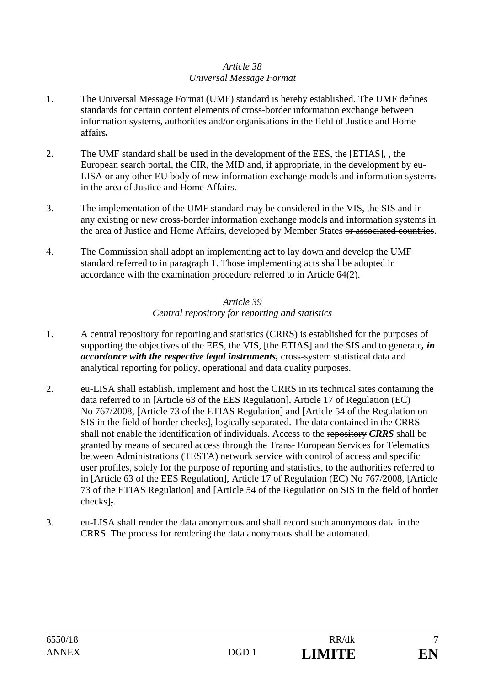#### *Article 38 Universal Message Format*

- 1. The Universal Message Format (UMF) standard is hereby established. The UMF defines standards for certain content elements of cross-border information exchange between information systems, authorities and/or organisations in the field of Justice and Home affairs*.*
- 2. The UMF standard shall be used in the development of the EES, the  $[ETIAS]$ ,  $\frac{1}{2}$ , the European search portal, the CIR, the MID and, if appropriate, in the development by eu-LISA or any other EU body of new information exchange models and information systems in the area of Justice and Home Affairs.
- 3. The implementation of the UMF standard may be considered in the VIS, the SIS and in any existing or new cross-border information exchange models and information systems in the area of Justice and Home Affairs, developed by Member States or associated countries.
- 4. The Commission shall adopt an implementing act to lay down and develop the UMF standard referred to in paragraph 1. Those implementing acts shall be adopted in accordance with the examination procedure referred to in Article 64(2).

### *Article 39 Central repository for reporting and statistics*

- 1. A central repository for reporting and statistics (CRRS) is established for the purposes of supporting the objectives of the EES, the VIS, [the ETIAS] and the SIS and to generate*, in accordance with the respective legal instruments,* cross-system statistical data and analytical reporting for policy, operational and data quality purposes.
- 2. eu-LISA shall establish, implement and host the CRRS in its technical sites containing the data referred to in [Article 63 of the EES Regulation], Article 17 of Regulation (EC) No 767/2008, [Article 73 of the ETIAS Regulation] and [Article 54 of the Regulation on SIS in the field of border checks], logically separated. The data contained in the CRRS shall not enable the identification of individuals. Access to the repository *CRRS* shall be granted by means of secured access through the Trans- European Services for Telematics between Administrations (TESTA) network service with control of access and specific user profiles, solely for the purpose of reporting and statistics, to the authorities referred to in [Article 63 of the EES Regulation], Article 17 of Regulation (EC) No 767/2008, [Article 73 of the ETIAS Regulation] and [Article 54 of the Regulation on SIS in the field of border checks],.
- 3. eu-LISA shall render the data anonymous and shall record such anonymous data in the CRRS. The process for rendering the data anonymous shall be automated.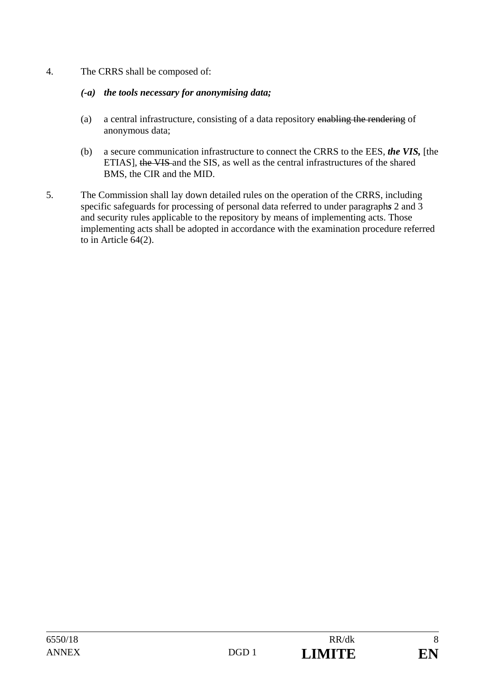4. The CRRS shall be composed of:

### *(-a) the tools necessary for anonymising data;*

- (a) a central infrastructure, consisting of a data repository enabling the rendering of anonymous data;
- (b) a secure communication infrastructure to connect the CRRS to the EES, *the VIS,* [the ETIAS], the VIS and the SIS, as well as the central infrastructures of the shared BMS, the CIR and the MID.
- 5. The Commission shall lay down detailed rules on the operation of the CRRS, including specific safeguards for processing of personal data referred to under paragraph*s* 2 and 3 and security rules applicable to the repository by means of implementing acts. Those implementing acts shall be adopted in accordance with the examination procedure referred to in Article 64(2).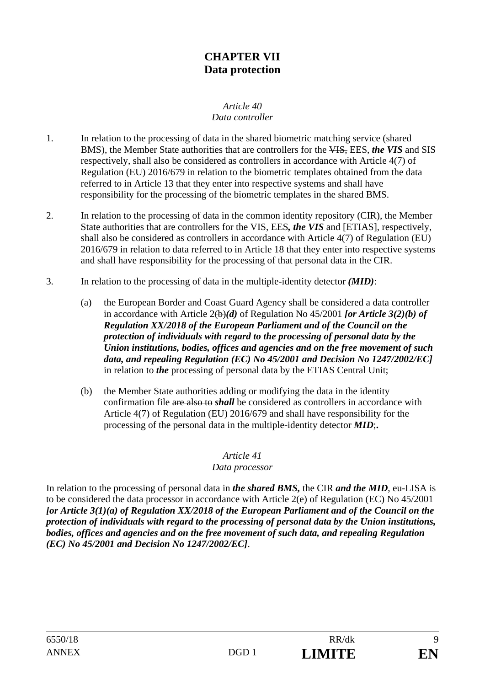## **CHAPTER VII Data protection**

#### *Article 40 Data controller*

- 1. In relation to the processing of data in the shared biometric matching service (shared BMS), the Member State authorities that are controllers for the VIS, EES, *the VIS* and SIS respectively, shall also be considered as controllers in accordance with Article 4(7) of Regulation (EU) 2016/679 in relation to the biometric templates obtained from the data referred to in Article 13 that they enter into respective systems and shall have responsibility for the processing of the biometric templates in the shared BMS.
- 2. In relation to the processing of data in the common identity repository (CIR), the Member State authorities that are controllers for the VIS, EES*, the VIS* and [ETIAS], respectively, shall also be considered as controllers in accordance with Article 4(7) of Regulation (EU) 2016/679 in relation to data referred to in Article 18 that they enter into respective systems and shall have responsibility for the processing of that personal data in the CIR.
- 3. In relation to the processing of data in the multiple-identity detector *(MID)*:
	- (a) the European Border and Coast Guard Agency shall be considered a data controller in accordance with Article 2(b)*(d)* of Regulation No 45/2001 *[or Article 3(2)(b) of Regulation XX/2018 of the European Parliament and of the Council on the protection of individuals with regard to the processing of personal data by the Union institutions, bodies, offices and agencies and on the free movement of such data, and repealing Regulation (EC) No 45/2001 and Decision No 1247/2002/EC]* in relation to *the* processing of personal data by the ETIAS Central Unit;
	- (b) the Member State authorities adding or modifying the data in the identity confirmation file are also to *shall* be considered as controllers in accordance with Article 4(7) of Regulation (EU) 2016/679 and shall have responsibility for the processing of the personal data in the multiple-identity detector *MID*;**.**

#### *Article 41*

#### *Data processor*

In relation to the processing of personal data in *the shared BMS,* the CIR *and the MID*, eu-LISA is to be considered the data processor in accordance with Article 2(e) of Regulation (EC) No 45/2001 *[or Article 3(1)(a) of Regulation XX/2018 of the European Parliament and of the Council on the protection of individuals with regard to the processing of personal data by the Union institutions, bodies, offices and agencies and on the free movement of such data, and repealing Regulation (EC) No 45/2001 and Decision No 1247/2002/EC]*.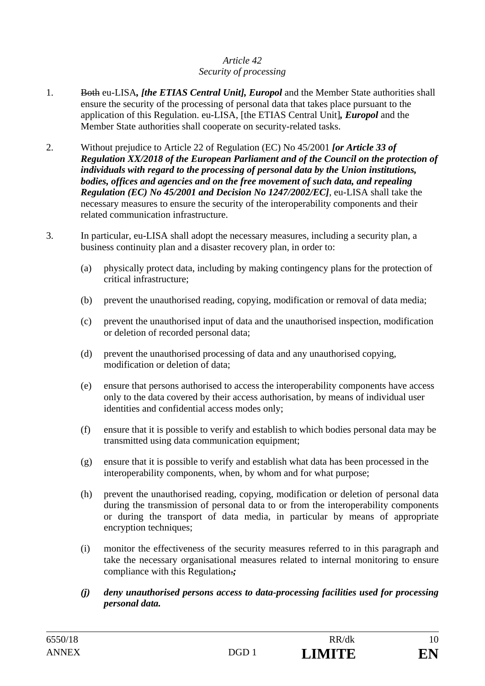## *Article 42 Security of processing*

- 1. Both eu-LISA*, [the ETIAS Central Unit], Europol* and the Member State authorities shall ensure the security of the processing of personal data that takes place pursuant to the application of this Regulation. eu-LISA, [the ETIAS Central Unit]*, Europol* and the Member State authorities shall cooperate on security-related tasks.
- 2. Without prejudice to Article 22 of Regulation (EC) No 45/2001 *[or Article 33 of Regulation XX/2018 of the European Parliament and of the Council on the protection of individuals with regard to the processing of personal data by the Union institutions, bodies, offices and agencies and on the free movement of such data, and repealing Regulation (EC) No 45/2001 and Decision No 1247/2002/EC]*, eu-LISA shall take the necessary measures to ensure the security of the interoperability components and their related communication infrastructure.
- 3. In particular, eu-LISA shall adopt the necessary measures, including a security plan, a business continuity plan and a disaster recovery plan, in order to:
	- (a) physically protect data, including by making contingency plans for the protection of critical infrastructure;
	- (b) prevent the unauthorised reading, copying, modification or removal of data media;
	- (c) prevent the unauthorised input of data and the unauthorised inspection, modification or deletion of recorded personal data;
	- (d) prevent the unauthorised processing of data and any unauthorised copying, modification or deletion of data;
	- (e) ensure that persons authorised to access the interoperability components have access only to the data covered by their access authorisation, by means of individual user identities and confidential access modes only;
	- (f) ensure that it is possible to verify and establish to which bodies personal data may be transmitted using data communication equipment;
	- (g) ensure that it is possible to verify and establish what data has been processed in the interoperability components, when, by whom and for what purpose;
	- (h) prevent the unauthorised reading, copying, modification or deletion of personal data during the transmission of personal data to or from the interoperability components or during the transport of data media, in particular by means of appropriate encryption techniques;
	- (i) monitor the effectiveness of the security measures referred to in this paragraph and take the necessary organisational measures related to internal monitoring to ensure compliance with this Regulation.*;*
	- *(j) deny unauthorised persons access to data-processing facilities used for processing personal data.*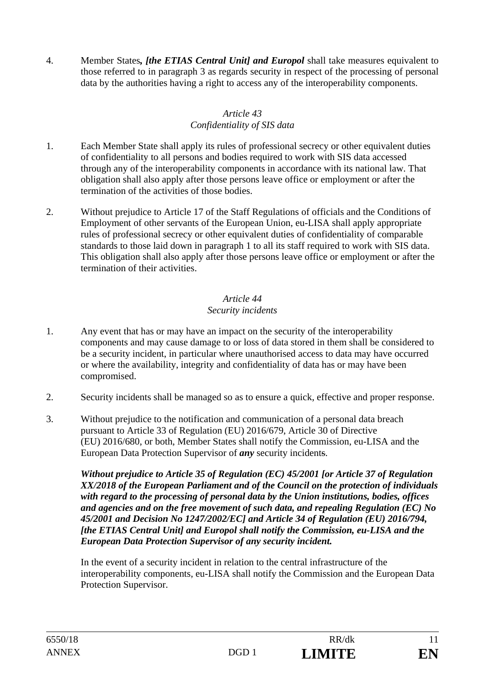4. Member States*, [the ETIAS Central Unit] and Europol* shall take measures equivalent to those referred to in paragraph 3 as regards security in respect of the processing of personal data by the authorities having a right to access any of the interoperability components.

## *Article 43 Confidentiality of SIS data*

- 1. Each Member State shall apply its rules of professional secrecy or other equivalent duties of confidentiality to all persons and bodies required to work with SIS data accessed through any of the interoperability components in accordance with its national law. That obligation shall also apply after those persons leave office or employment or after the termination of the activities of those bodies.
- 2. Without prejudice to Article 17 of the Staff Regulations of officials and the Conditions of Employment of other servants of the European Union, eu-LISA shall apply appropriate rules of professional secrecy or other equivalent duties of confidentiality of comparable standards to those laid down in paragraph 1 to all its staff required to work with SIS data. This obligation shall also apply after those persons leave office or employment or after the termination of their activities.

### *Article 44 Security incidents*

- 1. Any event that has or may have an impact on the security of the interoperability components and may cause damage to or loss of data stored in them shall be considered to be a security incident, in particular where unauthorised access to data may have occurred or where the availability, integrity and confidentiality of data has or may have been compromised.
- 2. Security incidents shall be managed so as to ensure a quick, effective and proper response.
- 3. Without prejudice to the notification and communication of a personal data breach pursuant to Article 33 of Regulation (EU) 2016/679, Article 30 of Directive (EU) 2016/680, or both, Member States shall notify the Commission, eu-LISA and the European Data Protection Supervisor of *any* security incidents.

*Without prejudice to Article 35 of Regulation (EC) 45/2001 [or Article 37 of Regulation XX/2018 of the European Parliament and of the Council on the protection of individuals with regard to the processing of personal data by the Union institutions, bodies, offices and agencies and on the free movement of such data, and repealing Regulation (EC) No 45/2001 and Decision No 1247/2002/EC] and Article 34 of Regulation (EU) 2016/794, [the ETIAS Central Unit] and Europol shall notify the Commission, eu-LISA and the European Data Protection Supervisor of any security incident.*

 In the event of a security incident in relation to the central infrastructure of the interoperability components, eu-LISA shall notify the Commission and the European Data Protection Supervisor.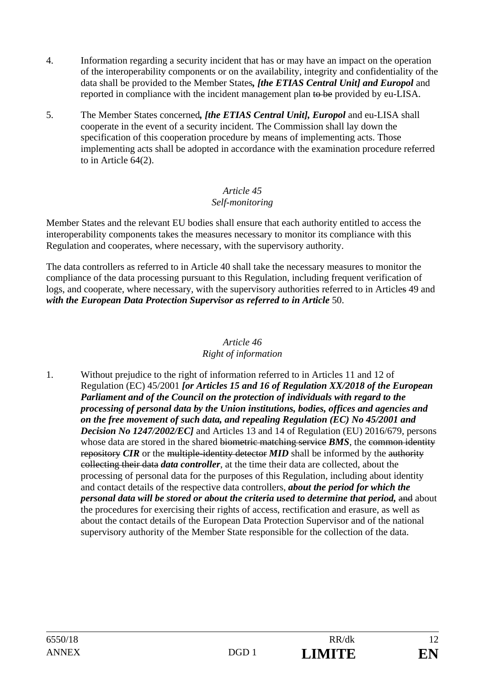- 4. Information regarding a security incident that has or may have an impact on the operation of the interoperability components or on the availability, integrity and confidentiality of the data shall be provided to the Member States*, [the ETIAS Central Unit] and Europol* and reported in compliance with the incident management plan to be provided by eu-LISA.
- 5. The Member States concerned*, [the ETIAS Central Unit], Europol* and eu-LISA shall cooperate in the event of a security incident. The Commission shall lay down the specification of this cooperation procedure by means of implementing acts. Those implementing acts shall be adopted in accordance with the examination procedure referred to in Article 64(2).

### *Article 45 Self-monitoring*

Member States and the relevant EU bodies shall ensure that each authority entitled to access the interoperability components takes the measures necessary to monitor its compliance with this Regulation and cooperates, where necessary, with the supervisory authority.

The data controllers as referred to in Article 40 shall take the necessary measures to monitor the compliance of the data processing pursuant to this Regulation, including frequent verification of logs, and cooperate, where necessary, with the supervisory authorities referred to in Articles 49 and with the European Data Protection Supervisor as referred to in Article 50.

#### *Article 46 Right of information*

1. Without prejudice to the right of information referred to in Articles 11 and 12 of Regulation (EC) 45/2001 *[or Articles 15 and 16 of Regulation XX/2018 of the European Parliament and of the Council on the protection of individuals with regard to the processing of personal data by the Union institutions, bodies, offices and agencies and on the free movement of such data, and repealing Regulation (EC) No 45/2001 and Decision No 1247/2002/EC]* and Articles 13 and 14 of Regulation (EU) 2016/679, persons whose data are stored in the shared biometric matching service **BMS**, the common identity repository *CIR* or the multiple-identity detector *MID* shall be informed by the authority collecting their data *data controller*, at the time their data are collected, about the processing of personal data for the purposes of this Regulation, including about identity and contact details of the respective data controllers, *about the period for which the personal data will be stored or about the criteria used to determine that period, and about* the procedures for exercising their rights of access, rectification and erasure, as well as about the contact details of the European Data Protection Supervisor and of the national supervisory authority of the Member State responsible for the collection of the data.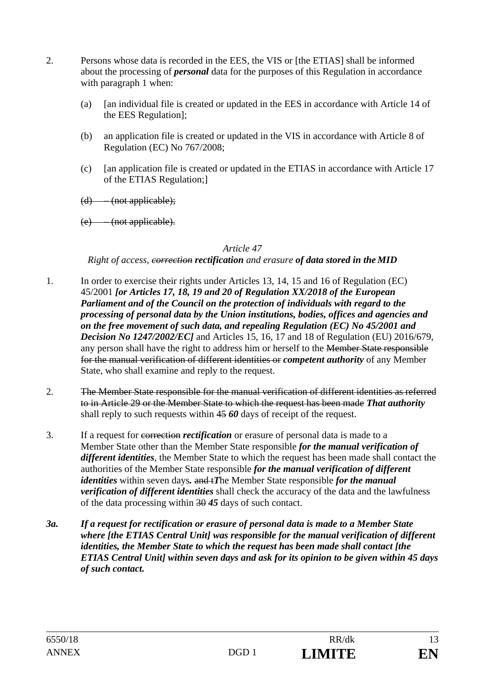- 2. Persons whose data is recorded in the EES, the VIS or [the ETIAS] shall be informed about the processing of *personal* data for the purposes of this Regulation in accordance with paragraph 1 when:
	- (a) [an individual file is created or updated in the EES in accordance with Article 14 of the EES Regulation];
	- (b) an application file is created or updated in the VIS in accordance with Article 8 of Regulation (EC) No 767/2008;
	- (c) [an application file is created or updated in the ETIAS in accordance with Article 17 of the ETIAS Regulation;]
	- $(d)$  (not applicable);
	- (e) (not applicable).

#### *Right of access, correction rectification and erasure of data stored in the MID*

- 1. In order to exercise their rights under Articles 13, 14, 15 and 16 of Regulation (EC) 45/2001 *[or Articles 17, 18, 19 and 20 of Regulation XX/2018 of the European Parliament and of the Council on the protection of individuals with regard to the processing of personal data by the Union institutions, bodies, offices and agencies and on the free movement of such data, and repealing Regulation (EC) No 45/2001 and Decision No 1247/2002/EC]* and Articles 15, 16, 17 and 18 of Regulation (EU) 2016/679, any person shall have the right to address him or herself to the Member State responsible for the manual verification of different identities or *competent authority* of any Member State, who shall examine and reply to the request.
- 2. The Member State responsible for the manual verification of different identities as referred to in Article 29 or the Member State to which the request has been made *That authority* shall reply to such requests within 45 *60* days of receipt of the request.
- 3. If a request for correction *rectification* or erasure of personal data is made to a Member State other than the Member State responsible *for the manual verification of different identities*, the Member State to which the request has been made shall contact the authorities of the Member State responsible *for the manual verification of different identities* within seven days*.* and t*T*he Member State responsible *for the manual verification of different identities* shall check the accuracy of the data and the lawfulness of the data processing within 30 *45* days of such contact.
- *3a. If a request for rectification or erasure of personal data is made to a Member State where [the ETIAS Central Unit] was responsible for the manual verification of different identities, the Member State to which the request has been made shall contact [the ETIAS Central Unit] within seven days and ask for its opinion to be given within 45 days of such contact.*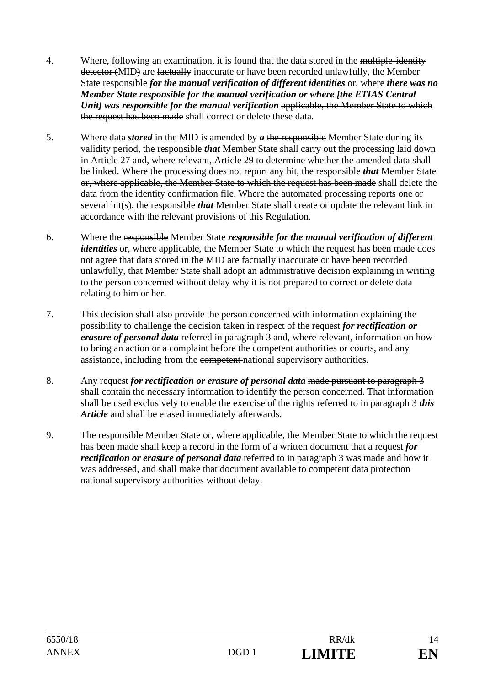- 4. Where, following an examination, it is found that the data stored in the multiple-identity detector (MID) are factually inaccurate or have been recorded unlawfully, the Member State responsible *for the manual verification of different identities* or, where *there was no Member State responsible for the manual verification or where [the ETIAS Central Unit] was responsible for the manual verification* applicable, the Member State to which the request has been made shall correct or delete these data.
- 5. Where data *stored* in the MID is amended by *a* the responsible Member State during its validity period, the responsible *that* Member State shall carry out the processing laid down in Article 27 and, where relevant, Article 29 to determine whether the amended data shall be linked. Where the processing does not report any hit, the responsible *that* Member State or, where applicable, the Member State to which the request has been made shall delete the data from the identity confirmation file. Where the automated processing reports one or several hit(s), the responsible *that* Member State shall create or update the relevant link in accordance with the relevant provisions of this Regulation.
- 6. Where the responsible Member State *responsible for the manual verification of different identities* or, where applicable, the Member State to which the request has been made does not agree that data stored in the MID are factually inaccurate or have been recorded unlawfully, that Member State shall adopt an administrative decision explaining in writing to the person concerned without delay why it is not prepared to correct or delete data relating to him or her.
- 7. This decision shall also provide the person concerned with information explaining the possibility to challenge the decision taken in respect of the request *for rectification or erasure of personal data* referred in paragraph 3 and, where relevant, information on how to bring an action or a complaint before the competent authorities or courts, and any assistance, including from the competent national supervisory authorities.
- 8. Any request *for rectification or erasure of personal data* made pursuant to paragraph 3 shall contain the necessary information to identify the person concerned. That information shall be used exclusively to enable the exercise of the rights referred to in paragraph 3 *this Article* and shall be erased immediately afterwards.
- 9. The responsible Member State or, where applicable, the Member State to which the request has been made shall keep a record in the form of a written document that a request *for rectification or erasure of personal data* referred to in paragraph 3 was made and how it was addressed, and shall make that document available to competent data protection national supervisory authorities without delay.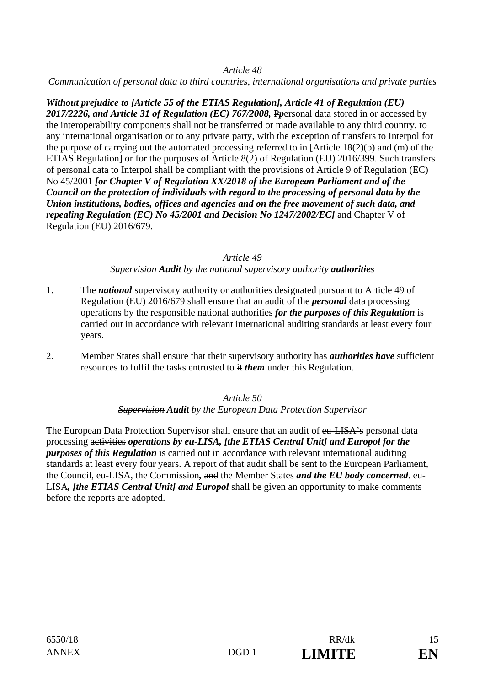*Communication of personal data to third countries, international organisations and private parties* 

*Without prejudice to [Article 55 of the ETIAS Regulation], Article 41 of Regulation (EU) 2017/2226, and Article 31 of Regulation (EC) 767/2008,* P*p*ersonal data stored in or accessed by the interoperability components shall not be transferred or made available to any third country, to any international organisation or to any private party, with the exception of transfers to Interpol for the purpose of carrying out the automated processing referred to in [Article 18(2)(b) and (m) of the ETIAS Regulation] or for the purposes of Article 8(2) of Regulation (EU) 2016/399. Such transfers of personal data to Interpol shall be compliant with the provisions of Article 9 of Regulation (EC) No 45/2001 *[or Chapter V of Regulation XX/2018 of the European Parliament and of the Council on the protection of individuals with regard to the processing of personal data by the Union institutions, bodies, offices and agencies and on the free movement of such data, and repealing Regulation (EC) No 45/2001 and Decision No 1247/2002/EC]* and Chapter V of Regulation (EU) 2016/679.

#### *Article 49*

*Supervision Audit by the national supervisory authority authorities*

- 1. The *national* supervisory authority or authorities designated pursuant to Article 49 of Regulation (EU) 2016/679 shall ensure that an audit of the *personal* data processing operations by the responsible national authorities *for the purposes of this Regulation* is carried out in accordance with relevant international auditing standards at least every four years.
- 2. Member States shall ensure that their supervisory authority has *authorities have* sufficient resources to fulfil the tasks entrusted to it *them* under this Regulation.

#### *Article 50 Supervision Audit by the European Data Protection Supervisor*

The European Data Protection Supervisor shall ensure that an audit of eu-LISA's personal data processing activities *operations by eu-LISA, [the ETIAS Central Unit] and Europol for the purposes of this Regulation* is carried out in accordance with relevant international auditing standards at least every four years. A report of that audit shall be sent to the European Parliament, the Council, eu-LISA, the Commission*,* and the Member States *and the EU body concerned*. eu-LISA*, [the ETIAS Central Unit] and Europol* shall be given an opportunity to make comments before the reports are adopted.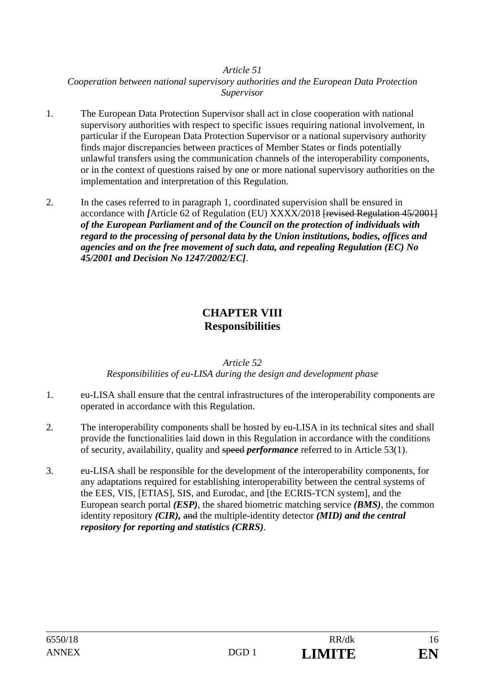*Cooperation between national supervisory authorities and the European Data Protection Supervisor* 

- 1. The European Data Protection Supervisor shall act in close cooperation with national supervisory authorities with respect to specific issues requiring national involvement, in particular if the European Data Protection Supervisor or a national supervisory authority finds major discrepancies between practices of Member States or finds potentially unlawful transfers using the communication channels of the interoperability components, or in the context of questions raised by one or more national supervisory authorities on the implementation and interpretation of this Regulation.
- 2. In the cases referred to in paragraph 1, coordinated supervision shall be ensured in accordance with *[*Article 62 of Regulation (EU) XXXX/2018 [revised Regulation 45/2001] *of the European Parliament and of the Council on the protection of individuals with regard to the processing of personal data by the Union institutions, bodies, offices and agencies and on the free movement of such data, and repealing Regulation (EC) No 45/2001 and Decision No 1247/2002/EC]*.

## **CHAPTER VIII Responsibilities**

#### *Article 52 Responsibilities of eu-LISA during the design and development phase*

- 1. eu-LISA shall ensure that the central infrastructures of the interoperability components are operated in accordance with this Regulation.
- 2. The interoperability components shall be hosted by eu-LISA in its technical sites and shall provide the functionalities laid down in this Regulation in accordance with the conditions of security, availability, quality and speed *performance* referred to in Article 53(1).
- 3. eu-LISA shall be responsible for the development of the interoperability components, for any adaptations required for establishing interoperability between the central systems of the EES, VIS, [ETIAS], SIS, and Eurodac, and [the ECRIS-TCN system], and the European search portal *(ESP)*, the shared biometric matching service *(BMS)*, the common identity repository *(CIR),* and the multiple-identity detector *(MID) and the central repository for reporting and statistics (CRRS)*.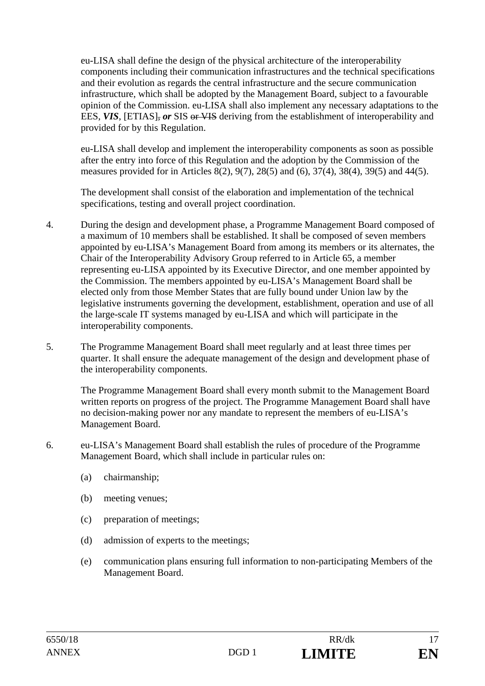eu-LISA shall define the design of the physical architecture of the interoperability components including their communication infrastructures and the technical specifications and their evolution as regards the central infrastructure and the secure communication infrastructure, which shall be adopted by the Management Board, subject to a favourable opinion of the Commission. eu-LISA shall also implement any necessary adaptations to the EES, VIS, [ETIAS], or SIS or VIS deriving from the establishment of interoperability and provided for by this Regulation.

eu-LISA shall develop and implement the interoperability components as soon as possible after the entry into force of this Regulation and the adoption by the Commission of the measures provided for in Articles 8(2), 9(7), 28(5) and (6), 37(4), 38(4), 39(5) and 44(5).

The development shall consist of the elaboration and implementation of the technical specifications, testing and overall project coordination.

- 4. During the design and development phase, a Programme Management Board composed of a maximum of 10 members shall be established. It shall be composed of seven members appointed by eu-LISA's Management Board from among its members or its alternates, the Chair of the Interoperability Advisory Group referred to in Article 65, a member representing eu-LISA appointed by its Executive Director, and one member appointed by the Commission. The members appointed by eu-LISA's Management Board shall be elected only from those Member States that are fully bound under Union law by the legislative instruments governing the development, establishment, operation and use of all the large-scale IT systems managed by eu-LISA and which will participate in the interoperability components.
- 5. The Programme Management Board shall meet regularly and at least three times per quarter. It shall ensure the adequate management of the design and development phase of the interoperability components.

The Programme Management Board shall every month submit to the Management Board written reports on progress of the project. The Programme Management Board shall have no decision-making power nor any mandate to represent the members of eu-LISA's Management Board.

- 6. eu-LISA's Management Board shall establish the rules of procedure of the Programme Management Board, which shall include in particular rules on:
	- (a) chairmanship;
	- (b) meeting venues;
	- (c) preparation of meetings;
	- (d) admission of experts to the meetings;
	- (e) communication plans ensuring full information to non-participating Members of the Management Board.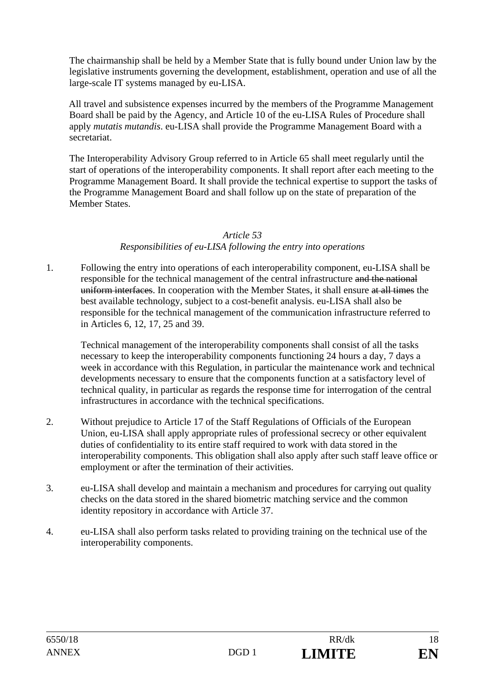The chairmanship shall be held by a Member State that is fully bound under Union law by the legislative instruments governing the development, establishment, operation and use of all the large-scale IT systems managed by eu-LISA.

All travel and subsistence expenses incurred by the members of the Programme Management Board shall be paid by the Agency, and Article 10 of the eu-LISA Rules of Procedure shall apply *mutatis mutandis*. eu-LISA shall provide the Programme Management Board with a secretariat.

The Interoperability Advisory Group referred to in Article 65 shall meet regularly until the start of operations of the interoperability components. It shall report after each meeting to the Programme Management Board. It shall provide the technical expertise to support the tasks of the Programme Management Board and shall follow up on the state of preparation of the Member States.

#### *Article 53*

### *Responsibilities of eu-LISA following the entry into operations*

1. Following the entry into operations of each interoperability component, eu-LISA shall be responsible for the technical management of the central infrastructure and the national uniform interfaces. In cooperation with the Member States, it shall ensure at all times the best available technology, subject to a cost-benefit analysis. eu-LISA shall also be responsible for the technical management of the communication infrastructure referred to in Articles 6, 12, 17, 25 and 39.

Technical management of the interoperability components shall consist of all the tasks necessary to keep the interoperability components functioning 24 hours a day, 7 days a week in accordance with this Regulation, in particular the maintenance work and technical developments necessary to ensure that the components function at a satisfactory level of technical quality, in particular as regards the response time for interrogation of the central infrastructures in accordance with the technical specifications.

- 2. Without prejudice to Article 17 of the Staff Regulations of Officials of the European Union, eu-LISA shall apply appropriate rules of professional secrecy or other equivalent duties of confidentiality to its entire staff required to work with data stored in the interoperability components. This obligation shall also apply after such staff leave office or employment or after the termination of their activities.
- 3. eu-LISA shall develop and maintain a mechanism and procedures for carrying out quality checks on the data stored in the shared biometric matching service and the common identity repository in accordance with Article 37.
- 4. eu-LISA shall also perform tasks related to providing training on the technical use of the interoperability components.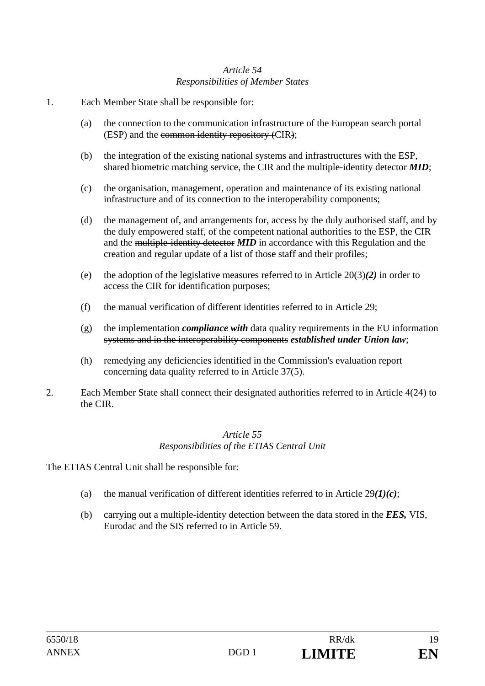#### *Article 54 Responsibilities of Member States*

- 1. Each Member State shall be responsible for:
	- (a) the connection to the communication infrastructure of the European search portal (ESP) and the common identity repository (CIR);
	- (b) the integration of the existing national systems and infrastructures with the ESP, shared biometric matching service, the CIR and the multiple-identity detector *MID*;
	- (c) the organisation, management, operation and maintenance of its existing national infrastructure and of its connection to the interoperability components;
	- (d) the management of, and arrangements for, access by the duly authorised staff, and by the duly empowered staff, of the competent national authorities to the ESP, the CIR and the multiple-identity detector *MID* in accordance with this Regulation and the creation and regular update of a list of those staff and their profiles;
	- (e) the adoption of the legislative measures referred to in Article  $20(3)(2)$  in order to access the CIR for identification purposes;
	- (f) the manual verification of different identities referred to in Article 29;
	- $(g)$  the implementation *compliance with* data quality requirements in the EU information systems and in the interoperability components *established under Union law*;
	- (h) remedying any deficiencies identified in the Commission's evaluation report concerning data quality referred to in Article 37(5).
- 2. Each Member State shall connect their designated authorities referred to in Article 4(24) to the CIR.

#### *Article 55 Responsibilities of the ETIAS Central Unit*

The ETIAS Central Unit shall be responsible for:

- (a) the manual verification of different identities referred to in Article 29*(1)(c)*;
- (b) carrying out a multiple-identity detection between the data stored in the *EES,* VIS, Eurodac and the SIS referred to in Article 59.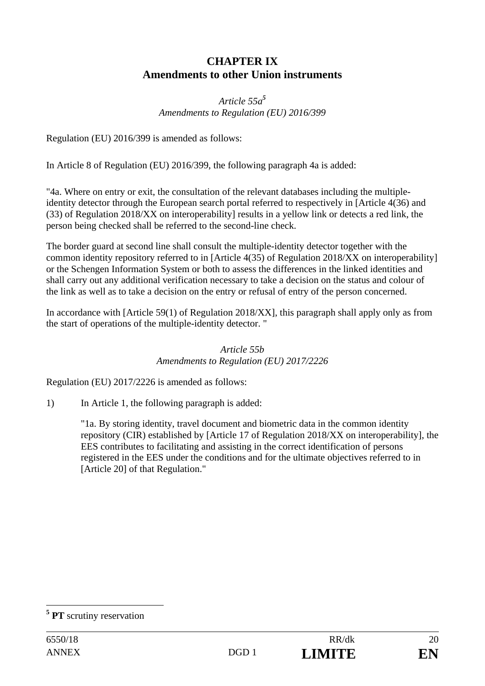## **CHAPTER IX Amendments to other Union instruments**

## *Article 55a<sup>5</sup> Amendments to Regulation (EU) 2016/399*

Regulation (EU) 2016/399 is amended as follows:

In Article 8 of Regulation (EU) 2016/399, the following paragraph 4a is added:

"4a. Where on entry or exit, the consultation of the relevant databases including the multipleidentity detector through the European search portal referred to respectively in [Article 4(36) and (33) of Regulation 2018/XX on interoperability] results in a yellow link or detects a red link, the person being checked shall be referred to the second-line check.

The border guard at second line shall consult the multiple-identity detector together with the common identity repository referred to in [Article 4(35) of Regulation 2018/XX on interoperability] or the Schengen Information System or both to assess the differences in the linked identities and shall carry out any additional verification necessary to take a decision on the status and colour of the link as well as to take a decision on the entry or refusal of entry of the person concerned.

In accordance with [Article 59(1) of Regulation 2018/XX], this paragraph shall apply only as from the start of operations of the multiple-identity detector. "

> *Article 55b Amendments to Regulation (EU) 2017/2226*

Regulation (EU) 2017/2226 is amended as follows:

1) In Article 1, the following paragraph is added:

 "1a. By storing identity, travel document and biometric data in the common identity repository (CIR) established by [Article 17 of Regulation 2018/XX on interoperability], the EES contributes to facilitating and assisting in the correct identification of persons registered in the EES under the conditions and for the ultimate objectives referred to in [Article 20] of that Regulation."

 $\overline{a}$ **<sup>5</sup> PT** scrutiny reservation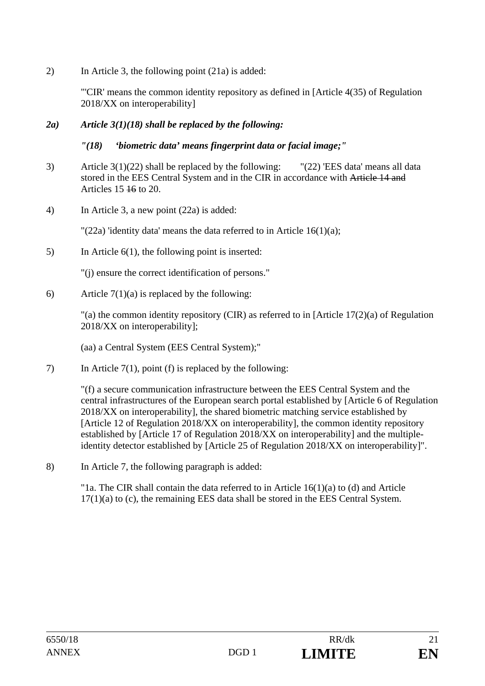2) In Article 3, the following point (21a) is added:

 "'CIR' means the common identity repository as defined in [Article 4(35) of Regulation 2018/XX on interoperability]

### *2a) Article 3(1)(18) shall be replaced by the following:*

### *"(18) 'biometric data' means fingerprint data or facial image;"*

- 3) Article 3(1)(22) shall be replaced by the following: "(22) 'EES data' means all data stored in the EES Central System and in the CIR in accordance with Article 14 and Articles 15 16 to 20.
- 4) In Article 3, a new point (22a) is added:

" $(22a)$  'identity data' means the data referred to in Article 16(1)(a);

5) In Article 6(1), the following point is inserted:

"(j) ensure the correct identification of persons."

6) Article  $7(1)(a)$  is replaced by the following:

 "(a) the common identity repository (CIR) as referred to in [Article 17(2)(a) of Regulation 2018/XX on interoperability];

(aa) a Central System (EES Central System);"

7) In Article 7(1), point (f) is replaced by the following:

"(f) a secure communication infrastructure between the EES Central System and the central infrastructures of the European search portal established by [Article 6 of Regulation 2018/XX on interoperability], the shared biometric matching service established by [Article 12 of Regulation 2018/XX on interoperability], the common identity repository established by [Article 17 of Regulation 2018/XX on interoperability] and the multipleidentity detector established by [Article 25 of Regulation 2018/XX on interoperability]".

8) In Article 7, the following paragraph is added:

 "1a. The CIR shall contain the data referred to in Article 16(1)(a) to (d) and Article 17(1)(a) to (c), the remaining EES data shall be stored in the EES Central System.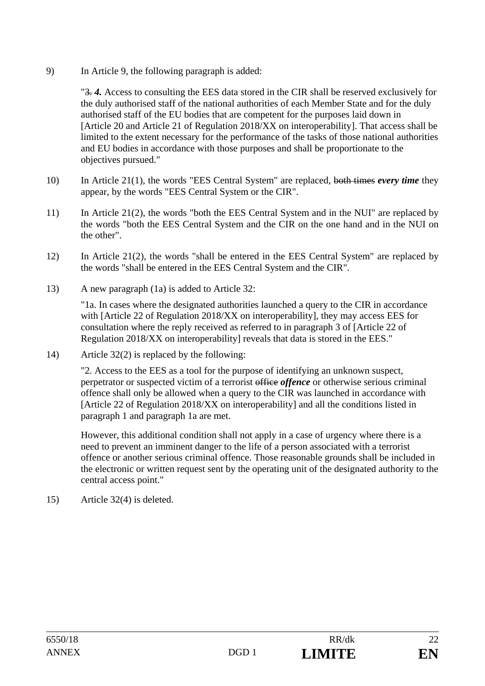9) In Article 9, the following paragraph is added:

"3. *4.* Access to consulting the EES data stored in the CIR shall be reserved exclusively for the duly authorised staff of the national authorities of each Member State and for the duly authorised staff of the EU bodies that are competent for the purposes laid down in [Article 20 and Article 21 of Regulation 2018/XX on interoperability]. That access shall be limited to the extent necessary for the performance of the tasks of those national authorities and EU bodies in accordance with those purposes and shall be proportionate to the objectives pursued."

- 10) In Article 21(1), the words "EES Central System" are replaced, both times *every time* they appear, by the words "EES Central System or the CIR".
- 11) In Article 21(2), the words "both the EES Central System and in the NUI" are replaced by the words "both the EES Central System and the CIR on the one hand and in the NUI on the other".
- 12) In Article 21(2), the words "shall be entered in the EES Central System" are replaced by the words "shall be entered in the EES Central System and the CIR".
- 13) A new paragraph (1a) is added to Article 32:

"1a. In cases where the designated authorities launched a query to the CIR in accordance with [Article 22 of Regulation 2018/XX on interoperability], they may access EES for consultation where the reply received as referred to in paragraph 3 of [Article 22 of Regulation 2018/XX on interoperability] reveals that data is stored in the EES."

14) Article 32(2) is replaced by the following:

"2. Access to the EES as a tool for the purpose of identifying an unknown suspect, perpetrator or suspected victim of a terrorist office *offence* or otherwise serious criminal offence shall only be allowed when a query to the CIR was launched in accordance with [Article 22 of Regulation 2018/XX on interoperability] and all the conditions listed in paragraph 1 and paragraph 1a are met.

However, this additional condition shall not apply in a case of urgency where there is a need to prevent an imminent danger to the life of a person associated with a terrorist offence or another serious criminal offence. Those reasonable grounds shall be included in the electronic or written request sent by the operating unit of the designated authority to the central access point."

15) Article 32(4) is deleted.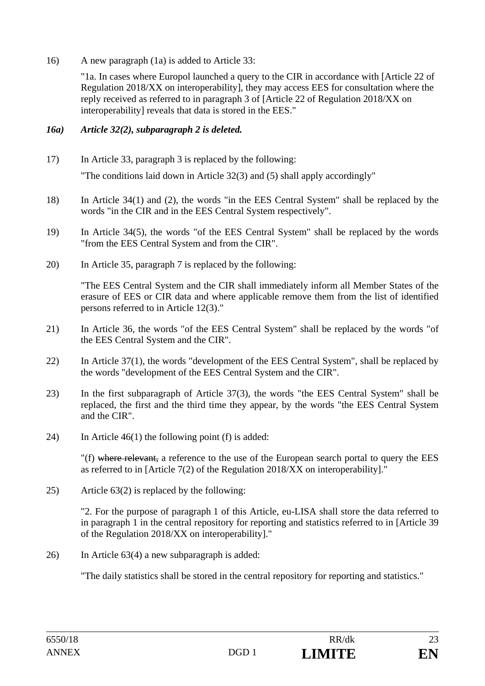16) A new paragraph (1a) is added to Article 33:

"1a. In cases where Europol launched a query to the CIR in accordance with [Article 22 of Regulation 2018/XX on interoperability], they may access EES for consultation where the reply received as referred to in paragraph 3 of [Article 22 of Regulation 2018/XX on interoperability] reveals that data is stored in the EES."

#### *16a) Article 32(2), subparagraph 2 is deleted.*

17) In Article 33, paragraph 3 is replaced by the following:

"The conditions laid down in Article 32(3) and (5) shall apply accordingly"

- 18) In Article 34(1) and (2), the words "in the EES Central System" shall be replaced by the words "in the CIR and in the EES Central System respectively".
- 19) In Article 34(5), the words "of the EES Central System" shall be replaced by the words "from the EES Central System and from the CIR".
- 20) In Article 35, paragraph 7 is replaced by the following:

 "The EES Central System and the CIR shall immediately inform all Member States of the erasure of EES or CIR data and where applicable remove them from the list of identified persons referred to in Article 12(3)."

- 21) In Article 36, the words "of the EES Central System" shall be replaced by the words "of the EES Central System and the CIR".
- 22) In Article 37(1), the words "development of the EES Central System", shall be replaced by the words "development of the EES Central System and the CIR".
- 23) In the first subparagraph of Article 37(3), the words "the EES Central System" shall be replaced, the first and the third time they appear, by the words "the EES Central System and the CIR".
- 24) In Article 46(1) the following point (f) is added:

"(f) where relevant, a reference to the use of the European search portal to query the EES as referred to in [Article 7(2) of the Regulation 2018/XX on interoperability]."

25) Article 63(2) is replaced by the following:

"2. For the purpose of paragraph 1 of this Article, eu-LISA shall store the data referred to in paragraph 1 in the central repository for reporting and statistics referred to in [Article 39 of the Regulation 2018/XX on interoperability]."

26) In Article 63(4) a new subparagraph is added:

"The daily statistics shall be stored in the central repository for reporting and statistics."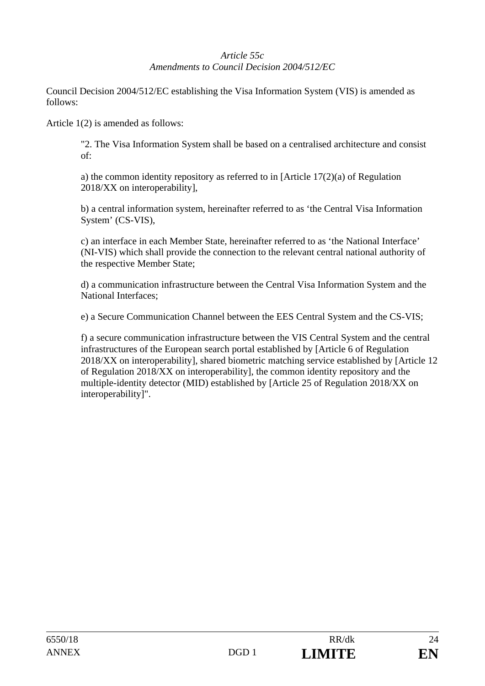## *Article 55c Amendments to Council Decision 2004/512/EC*

Council Decision 2004/512/EC establishing the Visa Information System (VIS) is amended as follows:

Article 1(2) is amended as follows:

"2. The Visa Information System shall be based on a centralised architecture and consist of:

a) the common identity repository as referred to in [Article 17(2)(a) of Regulation 2018/XX on interoperability],

b) a central information system, hereinafter referred to as 'the Central Visa Information System' (CS-VIS),

c) an interface in each Member State, hereinafter referred to as 'the National Interface' (NI-VIS) which shall provide the connection to the relevant central national authority of the respective Member State;

d) a communication infrastructure between the Central Visa Information System and the National Interfaces;

e) a Secure Communication Channel between the EES Central System and the CS-VIS;

f) a secure communication infrastructure between the VIS Central System and the central infrastructures of the European search portal established by [Article 6 of Regulation 2018/XX on interoperability], shared biometric matching service established by [Article 12 of Regulation 2018/XX on interoperability], the common identity repository and the multiple-identity detector (MID) established by [Article 25 of Regulation 2018/XX on interoperability]".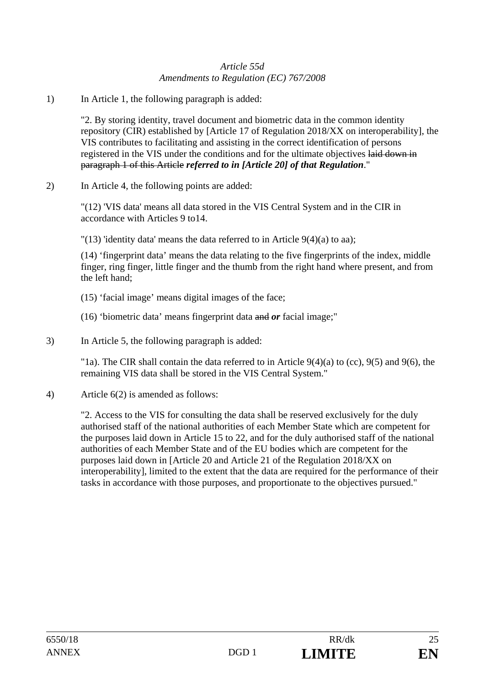#### *Article 55d Amendments to Regulation (EC) 767/2008*

1) In Article 1, the following paragraph is added:

"2. By storing identity, travel document and biometric data in the common identity repository (CIR) established by [Article 17 of Regulation 2018/XX on interoperability], the VIS contributes to facilitating and assisting in the correct identification of persons registered in the VIS under the conditions and for the ultimate objectives laid down in paragraph 1 of this Article *referred to in [Article 20] of that Regulation*."

2) In Article 4, the following points are added:

"(12) 'VIS data' means all data stored in the VIS Central System and in the CIR in accordance with Articles 9 to14.

"(13) 'identity data' means the data referred to in Article  $9(4)(a)$  to aa);

(14) 'fingerprint data' means the data relating to the five fingerprints of the index, middle finger, ring finger, little finger and the thumb from the right hand where present, and from the left hand;

- (15) 'facial image' means digital images of the face;
- (16) 'biometric data' means fingerprint data and *or* facial image;"
- 3) In Article 5, the following paragraph is added:

"1a). The CIR shall contain the data referred to in Article  $9(4)(a)$  to (cc),  $9(5)$  and  $9(6)$ , the remaining VIS data shall be stored in the VIS Central System."

4) Article 6(2) is amended as follows:

"2. Access to the VIS for consulting the data shall be reserved exclusively for the duly authorised staff of the national authorities of each Member State which are competent for the purposes laid down in Article 15 to 22, and for the duly authorised staff of the national authorities of each Member State and of the EU bodies which are competent for the purposes laid down in [Article 20 and Article 21 of the Regulation 2018/XX on interoperability], limited to the extent that the data are required for the performance of their tasks in accordance with those purposes, and proportionate to the objectives pursued."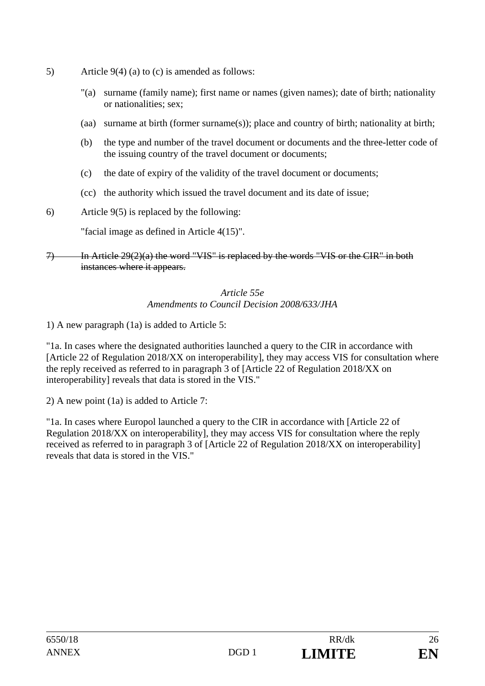- 5) Article 9(4) (a) to (c) is amended as follows:
	- "(a) surname (family name); first name or names (given names); date of birth; nationality or nationalities; sex;
	- (aa) surname at birth (former surname(s)); place and country of birth; nationality at birth;
	- (b) the type and number of the travel document or documents and the three-letter code of the issuing country of the travel document or documents;
	- (c) the date of expiry of the validity of the travel document or documents;
	- (cc) the authority which issued the travel document and its date of issue;
- 6) Article 9(5) is replaced by the following:

"facial image as defined in Article 4(15)".

7) In Article 29(2)(a) the word "VIS" is replaced by the words "VIS or the CIR" in both instances where it appears.

#### *Article 55e Amendments to Council Decision 2008/633/JHA*

1) A new paragraph (1a) is added to Article 5:

"1a. In cases where the designated authorities launched a query to the CIR in accordance with [Article 22 of Regulation 2018/XX on interoperability], they may access VIS for consultation where the reply received as referred to in paragraph 3 of [Article 22 of Regulation 2018/XX on interoperability] reveals that data is stored in the VIS."

2) A new point (1a) is added to Article 7:

"1a. In cases where Europol launched a query to the CIR in accordance with [Article 22 of Regulation 2018/XX on interoperability], they may access VIS for consultation where the reply received as referred to in paragraph 3 of [Article 22 of Regulation 2018/XX on interoperability] reveals that data is stored in the VIS."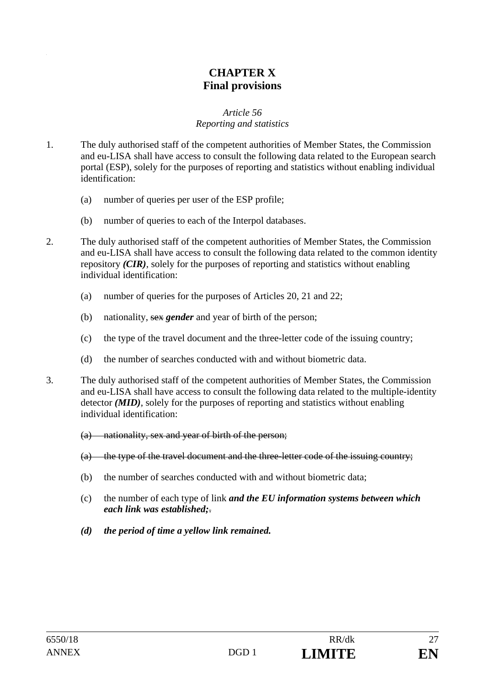## **CHAPTER X Final provisions**

#### *Article 56*

#### *Reporting and statistics*

- 1. The duly authorised staff of the competent authorities of Member States, the Commission and eu-LISA shall have access to consult the following data related to the European search portal (ESP), solely for the purposes of reporting and statistics without enabling individual identification:
	- (a) number of queries per user of the ESP profile;
	- (b) number of queries to each of the Interpol databases.
- 2. The duly authorised staff of the competent authorities of Member States, the Commission and eu-LISA shall have access to consult the following data related to the common identity repository *(CIR)*, solely for the purposes of reporting and statistics without enabling individual identification:
	- (a) number of queries for the purposes of Articles 20, 21 and 22;
	- (b) nationality, sex *gender* and year of birth of the person;
	- (c) the type of the travel document and the three-letter code of the issuing country;
	- (d) the number of searches conducted with and without biometric data.
- 3. The duly authorised staff of the competent authorities of Member States, the Commission and eu-LISA shall have access to consult the following data related to the multiple-identity detector *(MID)*, solely for the purposes of reporting and statistics without enabling individual identification:
	- (a) nationality, sex and year of birth of the person;
	- (a) the type of the travel document and the three-letter code of the issuing country;
	- (b) the number of searches conducted with and without biometric data;
	- (c) the number of each type of link *and the EU information systems between which each link was established;*.
	- *(d) the period of time a yellow link remained.*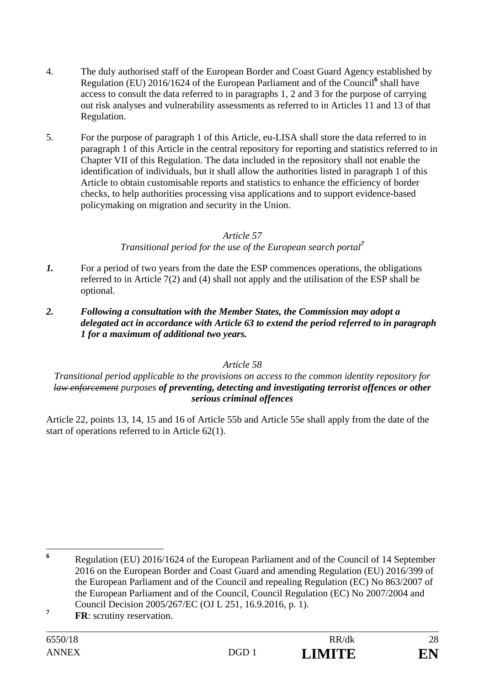- 4. The duly authorised staff of the European Border and Coast Guard Agency established by Regulation (EU) 2016/1624 of the European Parliament and of the Council<sup>6</sup> shall have access to consult the data referred to in paragraphs 1, 2 and 3 for the purpose of carrying out risk analyses and vulnerability assessments as referred to in Articles 11 and 13 of that Regulation.
- 5. For the purpose of paragraph 1 of this Article, eu-LISA shall store the data referred to in paragraph 1 of this Article in the central repository for reporting and statistics referred to in Chapter VII of this Regulation. The data included in the repository shall not enable the identification of individuals, but it shall allow the authorities listed in paragraph 1 of this Article to obtain customisable reports and statistics to enhance the efficiency of border checks, to help authorities processing visa applications and to support evidence-based policymaking on migration and security in the Union.

*Transitional period for the use of the European search portal<sup>7</sup>*

- *1.* For a period of two years from the date the ESP commences operations, the obligations referred to in Article 7(2) and (4) shall not apply and the utilisation of the ESP shall be optional.
- *2. Following a consultation with the Member States, the Commission may adopt a delegated act in accordance with Article 63 to extend the period referred to in paragraph 1 for a maximum of additional two years.*

#### *Article 58*

#### *Transitional period applicable to the provisions on access to the common identity repository for law enforcement purposes of preventing, detecting and investigating terrorist offences or other serious criminal offences*

Article 22, points 13, 14, 15 and 16 of Article 55b and Article 55e shall apply from the date of the start of operations referred to in Article 62(1).

 **6** Regulation (EU) 2016/1624 of the European Parliament and of the Council of 14 September 2016 on the European Border and Coast Guard and amending Regulation (EU) 2016/399 of the European Parliament and of the Council and repealing Regulation (EC) No 863/2007 of the European Parliament and of the Council, Council Regulation (EC) No 2007/2004 and Council Decision 2005/267/EC (OJ L 251, 16.9.2016, p. 1).

**<sup>7</sup> FR**: scrutiny reservation.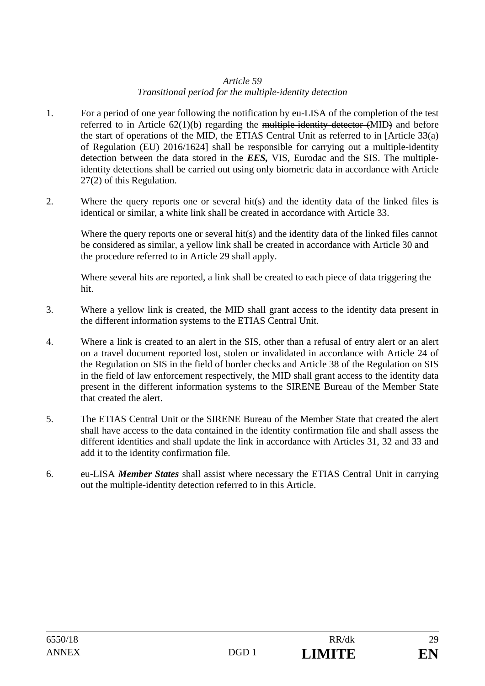#### *Article 59 Transitional period for the multiple-identity detection*

- 1. For a period of one year following the notification by eu-LISA of the completion of the test referred to in Article  $62(1)(b)$  regarding the multiple-identity detector  $(MID)$  and before the start of operations of the MID, the ETIAS Central Unit as referred to in [Article 33(a) of Regulation (EU) 2016/1624] shall be responsible for carrying out a multiple-identity detection between the data stored in the *EES,* VIS, Eurodac and the SIS. The multipleidentity detections shall be carried out using only biometric data in accordance with Article 27(2) of this Regulation.
- 2. Where the query reports one or several hit(s) and the identity data of the linked files is identical or similar, a white link shall be created in accordance with Article 33.

Where the query reports one or several hit(s) and the identity data of the linked files cannot be considered as similar, a yellow link shall be created in accordance with Article 30 and the procedure referred to in Article 29 shall apply.

Where several hits are reported, a link shall be created to each piece of data triggering the hit.

- 3. Where a yellow link is created, the MID shall grant access to the identity data present in the different information systems to the ETIAS Central Unit.
- 4. Where a link is created to an alert in the SIS, other than a refusal of entry alert or an alert on a travel document reported lost, stolen or invalidated in accordance with Article 24 of the Regulation on SIS in the field of border checks and Article 38 of the Regulation on SIS in the field of law enforcement respectively, the MID shall grant access to the identity data present in the different information systems to the SIRENE Bureau of the Member State that created the alert.
- 5. The ETIAS Central Unit or the SIRENE Bureau of the Member State that created the alert shall have access to the data contained in the identity confirmation file and shall assess the different identities and shall update the link in accordance with Articles 31, 32 and 33 and add it to the identity confirmation file.
- 6. eu-LISA *Member States* shall assist where necessary the ETIAS Central Unit in carrying out the multiple-identity detection referred to in this Article.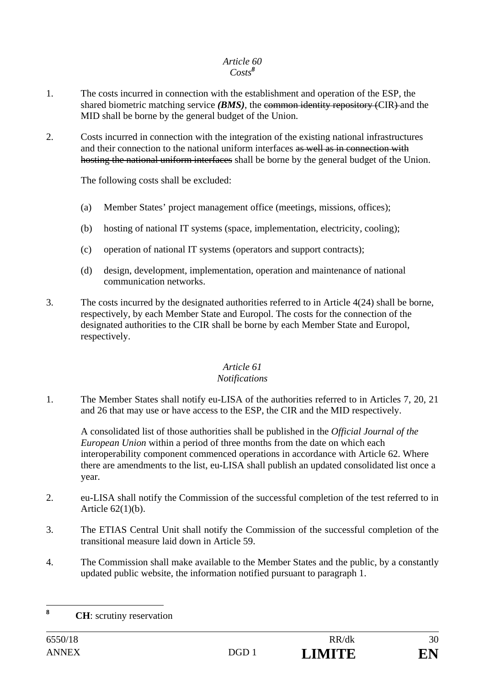#### *Article 60 Costs<sup>8</sup>*

- 1. The costs incurred in connection with the establishment and operation of the ESP, the shared biometric matching service *(BMS)*, the common identity repository *(CIR)* and the MID shall be borne by the general budget of the Union.
- 2. Costs incurred in connection with the integration of the existing national infrastructures and their connection to the national uniform interfaces as well as in connection with hosting the national uniform interfaces shall be borne by the general budget of the Union.

The following costs shall be excluded:

- (a) Member States' project management office (meetings, missions, offices);
- (b) hosting of national IT systems (space, implementation, electricity, cooling);
- (c) operation of national IT systems (operators and support contracts);
- (d) design, development, implementation, operation and maintenance of national communication networks.
- 3. The costs incurred by the designated authorities referred to in Article 4(24) shall be borne, respectively, by each Member State and Europol. The costs for the connection of the designated authorities to the CIR shall be borne by each Member State and Europol, respectively.

#### *Article 61*

#### *Notifications*

1. The Member States shall notify eu-LISA of the authorities referred to in Articles 7, 20, 21 and 26 that may use or have access to the ESP, the CIR and the MID respectively.

A consolidated list of those authorities shall be published in the *Official Journal of the European Union* within a period of three months from the date on which each interoperability component commenced operations in accordance with Article 62. Where there are amendments to the list, eu-LISA shall publish an updated consolidated list once a year.

- 2. eu-LISA shall notify the Commission of the successful completion of the test referred to in Article 62(1)(b).
- 3. The ETIAS Central Unit shall notify the Commission of the successful completion of the transitional measure laid down in Article 59.
- 4. The Commission shall make available to the Member States and the public, by a constantly updated public website, the information notified pursuant to paragraph 1.

 $\bf{8}$ **<sup>8</sup> CH**: scrutiny reservation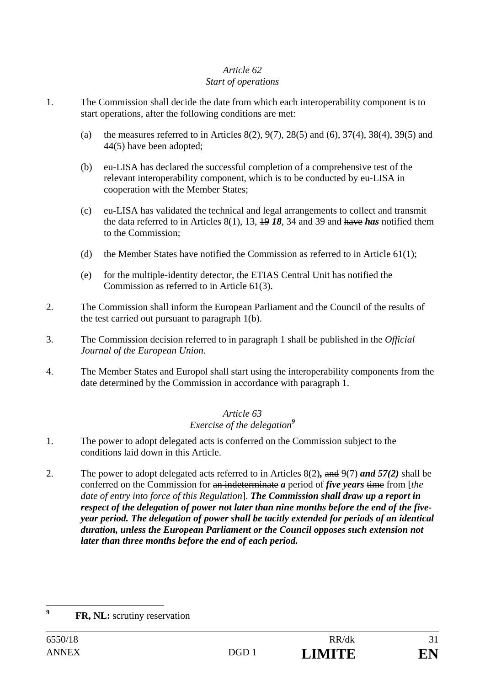#### *Article 62 Start of operations*

- 1. The Commission shall decide the date from which each interoperability component is to start operations, after the following conditions are met:
	- (a) the measures referred to in Articles 8(2), 9(7), 28(5) and (6), 37(4), 38(4), 39(5) and 44(5) have been adopted;
	- (b) eu-LISA has declared the successful completion of a comprehensive test of the relevant interoperability component, which is to be conducted by eu-LISA in cooperation with the Member States;
	- (c) eu-LISA has validated the technical and legal arrangements to collect and transmit the data referred to in Articles 8(1), 13, 19 *18*, 34 and 39 and have *has* notified them to the Commission;
	- (d) the Member States have notified the Commission as referred to in Article  $61(1)$ ;
	- (e) for the multiple-identity detector, the ETIAS Central Unit has notified the Commission as referred to in Article 61(3).
- 2. The Commission shall inform the European Parliament and the Council of the results of the test carried out pursuant to paragraph 1(b).
- 3. The Commission decision referred to in paragraph 1 shall be published in the *Official Journal of the European Union*.
- 4. The Member States and Europol shall start using the interoperability components from the date determined by the Commission in accordance with paragraph 1.

#### *Article 63 Exercise of the delegation<sup>9</sup>*

- 1. The power to adopt delegated acts is conferred on the Commission subject to the conditions laid down in this Article.
- 2. The power to adopt delegated acts referred to in Articles 8(2)*,* and 9(7) *and 57(2)* shall be conferred on the Commission for an indeterminate *a* period of *five years* time from [*the date of entry into force of this Regulation*]. *The Commission shall draw up a report in respect of the delegation of power not later than nine months before the end of the fiveyear period. The delegation of power shall be tacitly extended for periods of an identical duration, unless the European Parliament or the Council opposes such extension not later than three months before the end of each period.*

 $\overline{9}$ **FR, NL:** scrutiny reservation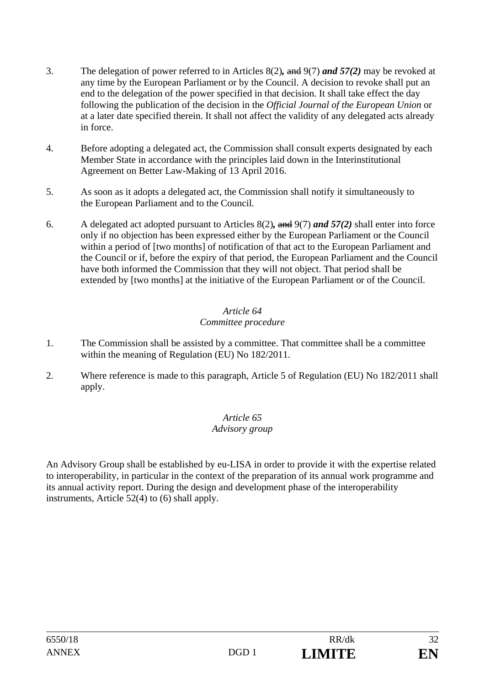- 3. The delegation of power referred to in Articles 8(2)*,* and 9(7) *and 57(2)* may be revoked at any time by the European Parliament or by the Council. A decision to revoke shall put an end to the delegation of the power specified in that decision. It shall take effect the day following the publication of the decision in the *Official Journal of the European Union* or at a later date specified therein. It shall not affect the validity of any delegated acts already in force.
- 4. Before adopting a delegated act, the Commission shall consult experts designated by each Member State in accordance with the principles laid down in the Interinstitutional Agreement on Better Law-Making of 13 April 2016.
- 5. As soon as it adopts a delegated act, the Commission shall notify it simultaneously to the European Parliament and to the Council.
- 6. A delegated act adopted pursuant to Articles 8(2)*,* and 9(7) *and 57(2)* shall enter into force only if no objection has been expressed either by the European Parliament or the Council within a period of [two months] of notification of that act to the European Parliament and the Council or if, before the expiry of that period, the European Parliament and the Council have both informed the Commission that they will not object. That period shall be extended by [two months] at the initiative of the European Parliament or of the Council.

## *Committee procedure*

- 1. The Commission shall be assisted by a committee. That committee shall be a committee within the meaning of Regulation (EU) No 182/2011.
- 2. Where reference is made to this paragraph, Article 5 of Regulation (EU) No 182/2011 shall apply.

#### *Article 65 Advisory group*

An Advisory Group shall be established by eu-LISA in order to provide it with the expertise related to interoperability, in particular in the context of the preparation of its annual work programme and its annual activity report. During the design and development phase of the interoperability instruments, Article 52(4) to (6) shall apply.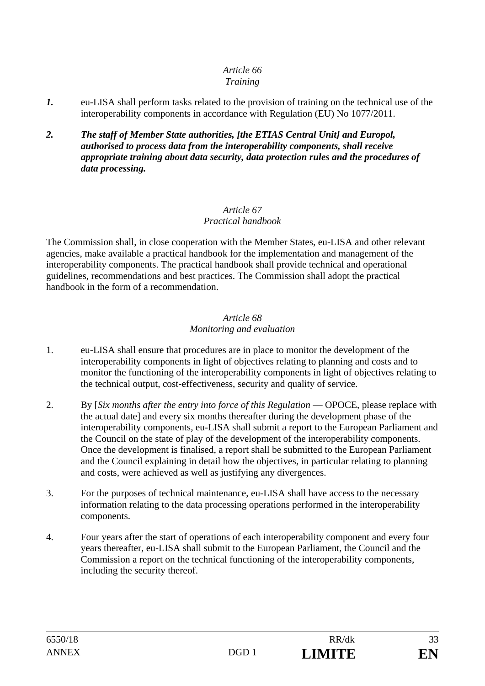#### *Training*

- *1.* eu-LISA shall perform tasks related to the provision of training on the technical use of the interoperability components in accordance with Regulation (EU) No 1077/2011.
- *2. The staff of Member State authorities, [the ETIAS Central Unit] and Europol, authorised to process data from the interoperability components, shall receive appropriate training about data security, data protection rules and the procedures of data processing.*

#### *Article 67 Practical handbook*

The Commission shall, in close cooperation with the Member States, eu-LISA and other relevant agencies, make available a practical handbook for the implementation and management of the interoperability components. The practical handbook shall provide technical and operational guidelines, recommendations and best practices. The Commission shall adopt the practical handbook in the form of a recommendation.

#### *Article 68 Monitoring and evaluation*

- 1. eu-LISA shall ensure that procedures are in place to monitor the development of the interoperability components in light of objectives relating to planning and costs and to monitor the functioning of the interoperability components in light of objectives relating to the technical output, cost-effectiveness, security and quality of service.
- 2. By [*Six months after the entry into force of this Regulation* OPOCE, please replace with the actual date] and every six months thereafter during the development phase of the interoperability components, eu-LISA shall submit a report to the European Parliament and the Council on the state of play of the development of the interoperability components. Once the development is finalised, a report shall be submitted to the European Parliament and the Council explaining in detail how the objectives, in particular relating to planning and costs, were achieved as well as justifying any divergences.
- 3. For the purposes of technical maintenance, eu-LISA shall have access to the necessary information relating to the data processing operations performed in the interoperability components.
- 4. Four years after the start of operations of each interoperability component and every four years thereafter, eu-LISA shall submit to the European Parliament, the Council and the Commission a report on the technical functioning of the interoperability components, including the security thereof.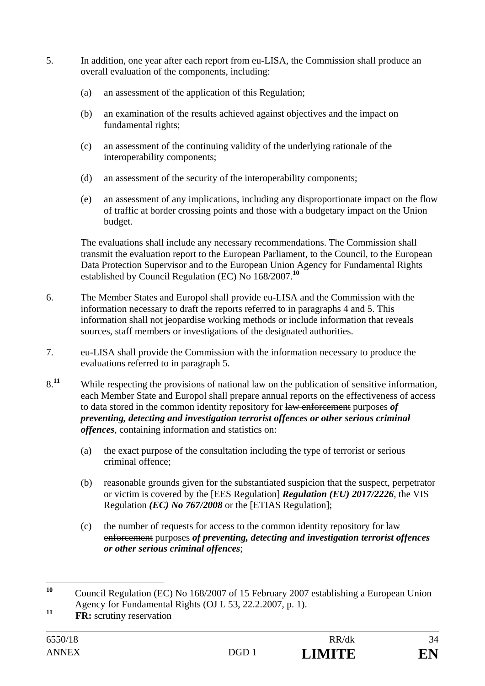- 5. In addition, one year after each report from eu-LISA, the Commission shall produce an overall evaluation of the components, including:
	- (a) an assessment of the application of this Regulation;
	- (b) an examination of the results achieved against objectives and the impact on fundamental rights;
	- (c) an assessment of the continuing validity of the underlying rationale of the interoperability components;
	- (d) an assessment of the security of the interoperability components;
	- (e) an assessment of any implications, including any disproportionate impact on the flow of traffic at border crossing points and those with a budgetary impact on the Union budget.

The evaluations shall include any necessary recommendations. The Commission shall transmit the evaluation report to the European Parliament, to the Council, to the European Data Protection Supervisor and to the European Union Agency for Fundamental Rights established by Council Regulation (EC) No 168/2007.**<sup>10</sup>**

- 6. The Member States and Europol shall provide eu-LISA and the Commission with the information necessary to draft the reports referred to in paragraphs 4 and 5. This information shall not jeopardise working methods or include information that reveals sources, staff members or investigations of the designated authorities.
- 7. eu-LISA shall provide the Commission with the information necessary to produce the evaluations referred to in paragraph 5.
- 8.<sup>11</sup> While respecting the provisions of national law on the publication of sensitive information, each Member State and Europol shall prepare annual reports on the effectiveness of access to data stored in the common identity repository for law enforcement purposes *of preventing, detecting and investigation terrorist offences or other serious criminal offences*, containing information and statistics on:
	- (a) the exact purpose of the consultation including the type of terrorist or serious criminal offence;
	- (b) reasonable grounds given for the substantiated suspicion that the suspect, perpetrator or victim is covered by the [EES Regulation] *Regulation (EU) 2017/2226*, the VIS Regulation *(EC) No 767/2008* or the [ETIAS Regulation];
	- (c) the number of requests for access to the common identity repository for  $\frac{1}{4}$ enforcement purposes *of preventing, detecting and investigation terrorist offences or other serious criminal offences*;

 $10$ **<sup>10</sup>** Council Regulation (EC) No 168/2007 of 15 February 2007 establishing a European Union Agency for Fundamental Rights (OJ L 53, 22.2.2007, p. 1).

**<sup>11</sup> FR:** scrutiny reservation